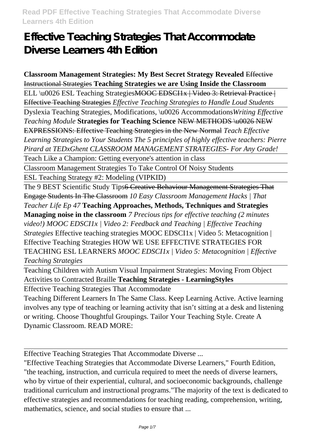# **Effective Teaching Strategies That Accommodate Diverse Learners 4th Edition**

**Classroom Management Strategies: My Best Secret Strategy Revealed** Effective Instructional Strategies **Teaching Strategies we are Using Inside the Classroom** ELL \u0026 ESL Teaching StrategiesMOOC EDSCI1x | Video 3: Retrieval Practice | Effective Teaching Strategies *Effective Teaching Strategies to Handle Loud Students* Dyslexia Teaching Strategies, Modifications, \u0026 Accommodations*Writing Effective Teaching Module* **Strategies for Teaching Science** NEW METHODS \u0026 NEW EXPRESSIONS: Effective Teaching Strategies in the New Normal *Teach Effective Learning Strategies to Your Students The 5 principles of highly effective teachers: Pierre Pirard at TEDxGhent CLASSROOM MANAGEMENT STRATEGIES- For Any Grade!*

Teach Like a Champion: Getting everyone's attention in class

Classroom Management Strategies To Take Control Of Noisy Students

ESL Teaching Strategy #2: Modeling (VIPKID)

The 9 BEST Scientific Study Tips<del>6 Creative Behaviour Management Strategies That</del> Engage Students In The Classroom *10 Easy Classroom Management Hacks | That Teacher Life Ep 47* **Teaching Approaches, Methods, Techniques and Strategies Managing noise in the classroom** *7 Precious tips for effective teaching (2 minutes video!) MOOC EDSCI1x | Video 2: Feedback and Teaching | Effective Teaching Strategies* Effective teaching strategies MOOC EDSCI1x | Video 5: Metacognition | Effective Teaching Strategies HOW WE USE EFFECTIVE STRATEGIES FOR TEACHING ESL LEARNERS *MOOC EDSCI1x | Video 5: Metacognition | Effective Teaching Strategies*

Teaching Children with Autism Visual Impairment Strategies: Moving From Object Activities to Contracted Braille **Teaching Strategies - LearningStyles**

Effective Teaching Strategies That Accommodate

Teaching Different Learners In The Same Class. Keep Learning Active. Active learning involves any type of teaching or learning activity that isn't sitting at a desk and listening or writing. Choose Thoughtful Groupings. Tailor Your Teaching Style. Create A Dynamic Classroom. READ MORE:

Effective Teaching Strategies That Accommodate Diverse ...

"Effective Teaching Strategies that Accommodate Diverse Learners," Fourth Edition, "the teaching, instruction, and curricula required to meet the needs of diverse learners, who by virtue of their experiential, cultural, and socioeconomic backgrounds, challenge traditional curriculum and instructional programs."The majority of the text is dedicated to effective strategies and recommendations for teaching reading, comprehension, writing, mathematics, science, and social studies to ensure that ...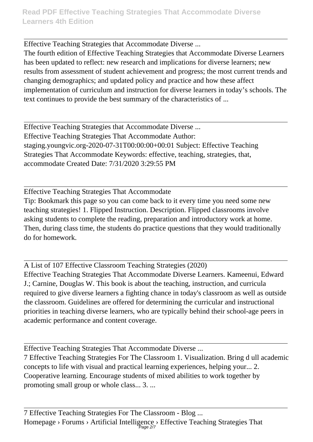Effective Teaching Strategies that Accommodate Diverse ...

The fourth edition of Effective Teaching Strategies that Accommodate Diverse Learners has been updated to reflect: new research and implications for diverse learners; new results from assessment of student achievement and progress; the most current trends and changing demographics; and updated policy and practice and how these affect implementation of curriculum and instruction for diverse learners in today's schools. The text continues to provide the best summary of the characteristics of ...

Effective Teaching Strategies that Accommodate Diverse ... Effective Teaching Strategies That Accommodate Author: staging.youngvic.org-2020-07-31T00:00:00+00:01 Subject: Effective Teaching Strategies That Accommodate Keywords: effective, teaching, strategies, that, accommodate Created Date: 7/31/2020 3:29:55 PM

Effective Teaching Strategies That Accommodate Tip: Bookmark this page so you can come back to it every time you need some new teaching strategies! 1. Flipped Instruction. Description. Flipped classrooms involve asking students to complete the reading, preparation and introductory work at home. Then, during class time, the students do practice questions that they would traditionally do for homework.

A List of 107 Effective Classroom Teaching Strategies (2020) Effective Teaching Strategies That Accommodate Diverse Learners. Kameenui, Edward J.; Carnine, Douglas W. This book is about the teaching, instruction, and curricula required to give diverse learners a fighting chance in today's classroom as well as outside the classroom. Guidelines are offered for determining the curricular and instructional priorities in teaching diverse learners, who are typically behind their school-age peers in academic performance and content coverage.

Effective Teaching Strategies That Accommodate Diverse ...

7 Effective Teaching Strategies For The Classroom 1. Visualization. Bring d ull academic concepts to life with visual and practical learning experiences, helping your... 2. Cooperative learning. Encourage students of mixed abilities to work together by promoting small group or whole class... 3. ...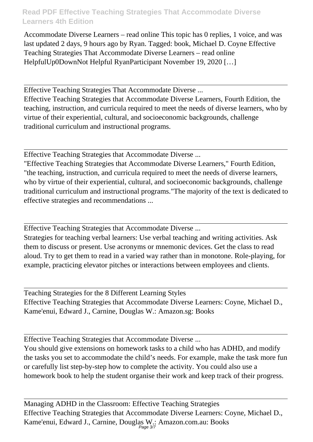Accommodate Diverse Learners – read online This topic has 0 replies, 1 voice, and was last updated 2 days, 9 hours ago by Ryan. Tagged: book, Michael D. Coyne Effective Teaching Strategies That Accommodate Diverse Learners – read online HelpfulUp0DownNot Helpful RyanParticipant November 19, 2020 […]

Effective Teaching Strategies That Accommodate Diverse ...

Effective Teaching Strategies that Accommodate Diverse Learners, Fourth Edition, the teaching, instruction, and curricula required to meet the needs of diverse learners, who by virtue of their experiential, cultural, and socioeconomic backgrounds, challenge traditional curriculum and instructional programs.

Effective Teaching Strategies that Accommodate Diverse ...

"Effective Teaching Strategies that Accommodate Diverse Learners," Fourth Edition, "the teaching, instruction, and curricula required to meet the needs of diverse learners, who by virtue of their experiential, cultural, and socioeconomic backgrounds, challenge traditional curriculum and instructional programs."The majority of the text is dedicated to effective strategies and recommendations ...

Effective Teaching Strategies that Accommodate Diverse ...

Strategies for teaching verbal learners: Use verbal teaching and writing activities. Ask them to discuss or present. Use acronyms or mnemonic devices. Get the class to read aloud. Try to get them to read in a varied way rather than in monotone. Role-playing, for example, practicing elevator pitches or interactions between employees and clients.

Teaching Strategies for the 8 Different Learning Styles Effective Teaching Strategies that Accommodate Diverse Learners: Coyne, Michael D., Kame'enui, Edward J., Carnine, Douglas W.: Amazon.sg: Books

Effective Teaching Strategies that Accommodate Diverse ...

You should give extensions on homework tasks to a child who has ADHD, and modify the tasks you set to accommodate the child's needs. For example, make the task more fun or carefully list step-by-step how to complete the activity. You could also use a homework book to help the student organise their work and keep track of their progress.

Managing ADHD in the Classroom: Effective Teaching Strategies Effective Teaching Strategies that Accommodate Diverse Learners: Coyne, Michael D., Kame'enui, Edward J., Carnine, Douglas W.: Amazon.com.au: Books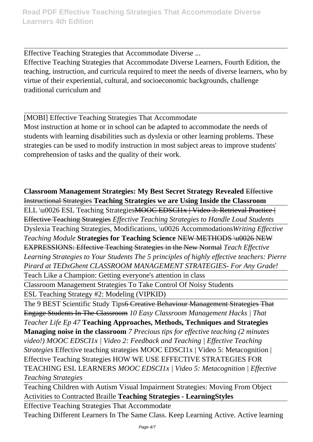Effective Teaching Strategies that Accommodate Diverse ... Effective Teaching Strategies that Accommodate Diverse Learners, Fourth Edition, the teaching, instruction, and curricula required to meet the needs of diverse learners, who by virtue of their experiential, cultural, and socioeconomic backgrounds, challenge traditional curriculum and

[MOBI] Effective Teaching Strategies That Accommodate Most instruction at home or in school can be adapted to accommodate the needs of students with learning disabilities such as dyslexia or other learning problems. These strategies can be used to modify instruction in most subject areas to improve students' comprehension of tasks and the quality of their work.

**Classroom Management Strategies: My Best Secret Strategy Revealed** Effective Instructional Strategies **Teaching Strategies we are Using Inside the Classroom**

ELL \u0026 ESL Teaching StrategiesMOOC EDSCI1x | Video 3: Retrieval Practice | Effective Teaching Strategies *Effective Teaching Strategies to Handle Loud Students*

Dyslexia Teaching Strategies, Modifications, \u0026 Accommodations*Writing Effective Teaching Module* **Strategies for Teaching Science** NEW METHODS \u0026 NEW EXPRESSIONS: Effective Teaching Strategies in the New Normal *Teach Effective Learning Strategies to Your Students The 5 principles of highly effective teachers: Pierre Pirard at TEDxGhent CLASSROOM MANAGEMENT STRATEGIES- For Any Grade!*

Teach Like a Champion: Getting everyone's attention in class

Classroom Management Strategies To Take Control Of Noisy Students

ESL Teaching Strategy #2: Modeling (VIPKID)

The 9 BEST Scientific Study Tips<del>6 Creative Behaviour Management Strategies That</del> Engage Students In The Classroom *10 Easy Classroom Management Hacks | That Teacher Life Ep 47* **Teaching Approaches, Methods, Techniques and Strategies Managing noise in the classroom** *7 Precious tips for effective teaching (2 minutes video!) MOOC EDSCI1x | Video 2: Feedback and Teaching | Effective Teaching Strategies* Effective teaching strategies MOOC EDSCI1x | Video 5: Metacognition | Effective Teaching Strategies HOW WE USE EFFECTIVE STRATEGIES FOR TEACHING ESL LEARNERS *MOOC EDSCI1x | Video 5: Metacognition | Effective Teaching Strategies*

Teaching Children with Autism Visual Impairment Strategies: Moving From Object Activities to Contracted Braille **Teaching Strategies - LearningStyles**

Effective Teaching Strategies That Accommodate

Teaching Different Learners In The Same Class. Keep Learning Active. Active learning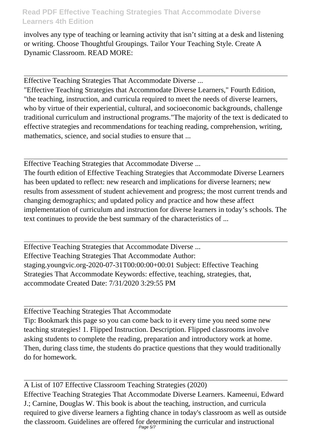involves any type of teaching or learning activity that isn't sitting at a desk and listening or writing. Choose Thoughtful Groupings. Tailor Your Teaching Style. Create A Dynamic Classroom. READ MORE:

Effective Teaching Strategies That Accommodate Diverse ...

"Effective Teaching Strategies that Accommodate Diverse Learners," Fourth Edition, "the teaching, instruction, and curricula required to meet the needs of diverse learners, who by virtue of their experiential, cultural, and socioeconomic backgrounds, challenge traditional curriculum and instructional programs."The majority of the text is dedicated to effective strategies and recommendations for teaching reading, comprehension, writing, mathematics, science, and social studies to ensure that ...

Effective Teaching Strategies that Accommodate Diverse ...

The fourth edition of Effective Teaching Strategies that Accommodate Diverse Learners has been updated to reflect: new research and implications for diverse learners; new results from assessment of student achievement and progress; the most current trends and changing demographics; and updated policy and practice and how these affect implementation of curriculum and instruction for diverse learners in today's schools. The text continues to provide the best summary of the characteristics of ...

Effective Teaching Strategies that Accommodate Diverse ... Effective Teaching Strategies That Accommodate Author: staging.youngvic.org-2020-07-31T00:00:00+00:01 Subject: Effective Teaching Strategies That Accommodate Keywords: effective, teaching, strategies, that, accommodate Created Date: 7/31/2020 3:29:55 PM

Effective Teaching Strategies That Accommodate Tip: Bookmark this page so you can come back to it every time you need some new teaching strategies! 1. Flipped Instruction. Description. Flipped classrooms involve asking students to complete the reading, preparation and introductory work at home. Then, during class time, the students do practice questions that they would traditionally do for homework.

A List of 107 Effective Classroom Teaching Strategies (2020) Effective Teaching Strategies That Accommodate Diverse Learners. Kameenui, Edward J.; Carnine, Douglas W. This book is about the teaching, instruction, and curricula required to give diverse learners a fighting chance in today's classroom as well as outside the classroom. Guidelines are offered for determining the curricular and instructional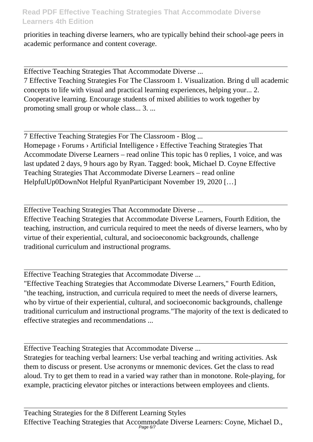priorities in teaching diverse learners, who are typically behind their school-age peers in academic performance and content coverage.

Effective Teaching Strategies That Accommodate Diverse ...

7 Effective Teaching Strategies For The Classroom 1. Visualization. Bring d ull academic concepts to life with visual and practical learning experiences, helping your... 2. Cooperative learning. Encourage students of mixed abilities to work together by promoting small group or whole class... 3. ...

7 Effective Teaching Strategies For The Classroom - Blog ... Homepage › Forums › Artificial Intelligence › Effective Teaching Strategies That Accommodate Diverse Learners – read online This topic has 0 replies, 1 voice, and was last updated 2 days, 9 hours ago by Ryan. Tagged: book, Michael D. Coyne Effective Teaching Strategies That Accommodate Diverse Learners – read online HelpfulUp0DownNot Helpful RyanParticipant November 19, 2020 […]

Effective Teaching Strategies That Accommodate Diverse ...

Effective Teaching Strategies that Accommodate Diverse Learners, Fourth Edition, the teaching, instruction, and curricula required to meet the needs of diverse learners, who by virtue of their experiential, cultural, and socioeconomic backgrounds, challenge traditional curriculum and instructional programs.

Effective Teaching Strategies that Accommodate Diverse ...

"Effective Teaching Strategies that Accommodate Diverse Learners," Fourth Edition, "the teaching, instruction, and curricula required to meet the needs of diverse learners, who by virtue of their experiential, cultural, and socioeconomic backgrounds, challenge traditional curriculum and instructional programs."The majority of the text is dedicated to effective strategies and recommendations ...

Effective Teaching Strategies that Accommodate Diverse ...

Strategies for teaching verbal learners: Use verbal teaching and writing activities. Ask them to discuss or present. Use acronyms or mnemonic devices. Get the class to read aloud. Try to get them to read in a varied way rather than in monotone. Role-playing, for example, practicing elevator pitches or interactions between employees and clients.